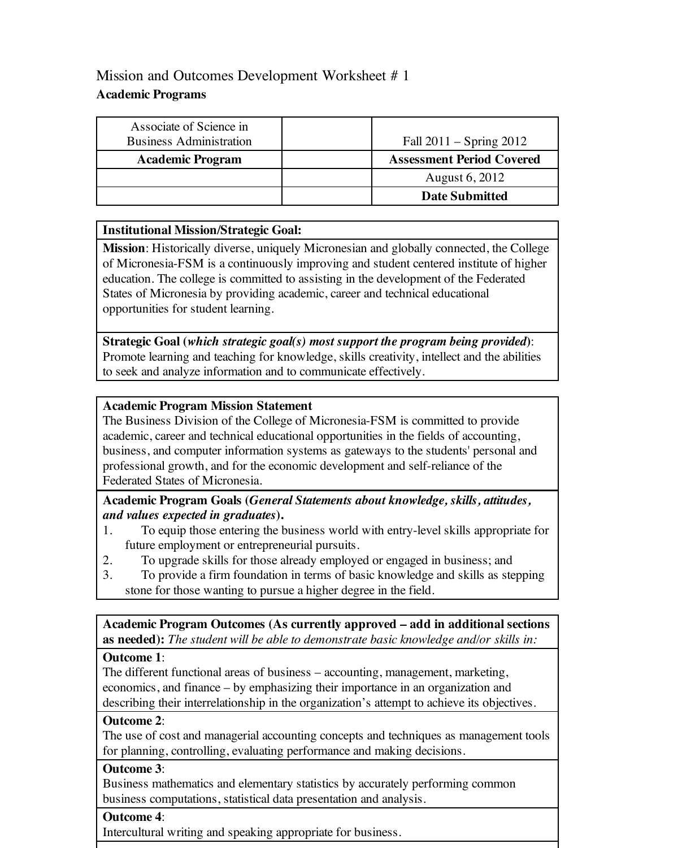# Mission and Outcomes Development Worksheet #1 **Academic Programs**

| Associate of Science in<br><b>Business Administration</b> | Fall $2011 -$ Spring $2012$      |
|-----------------------------------------------------------|----------------------------------|
| <b>Academic Program</b>                                   | <b>Assessment Period Covered</b> |
|                                                           | August 6, 2012                   |
|                                                           | <b>Date Submitted</b>            |

### **Institutional Mission/Strategic Goal:**

**Mission**: Historically diverse, uniquely Micronesian and globally connected, the College of Micronesia-FSM is a continuously improving and student centered institute of higher education. The college is committed to assisting in the development of the Federated States of Micronesia by providing academic, career and technical educational opportunities for student learning.

**Strategic Goal (***which strategic goal(s) most support the program being provided***)**: Promote learning and teaching for knowledge, skills creativity, intellect and the abilities to seek and analyze information and to communicate effectively.

#### **Academic Program Mission Statement**

The Business Division of the College of Micronesia-FSM is committed to provide academic, career and technical educational opportunities in the fields of accounting, business, and computer information systems as gateways to the students' personal and professional growth, and for the economic development and self-reliance of the Federated States of Micronesia.

### **Academic Program Goals (***General Statements about knowledge, skills, attitudes, and values expected in graduates***).**

- 1. To equip those entering the business world with entry-level skills appropriate for future employment or entrepreneurial pursuits.
- 2. To upgrade skills for those already employed or engaged in business; and
- 3. To provide a firm foundation in terms of basic knowledge and skills as stepping stone for those wanting to pursue a higher degree in the field.

**Academic Program Outcomes (As currently approved – add in additional sections as needed):** *The student will be able to demonstrate basic knowledge and/or skills in:*

#### **Outcome 1**:

The different functional areas of business – accounting, management, marketing, economics, and finance – by emphasizing their importance in an organization and describing their interrelationship in the organization's attempt to achieve its objectives.

## **Outcome 2**:

The use of cost and managerial accounting concepts and techniques as management tools for planning, controlling, evaluating performance and making decisions.

## **Outcome 3**:

Business mathematics and elementary statistics by accurately performing common business computations, statistical data presentation and analysis.

#### **Outcome 4**:

Intercultural writing and speaking appropriate for business.